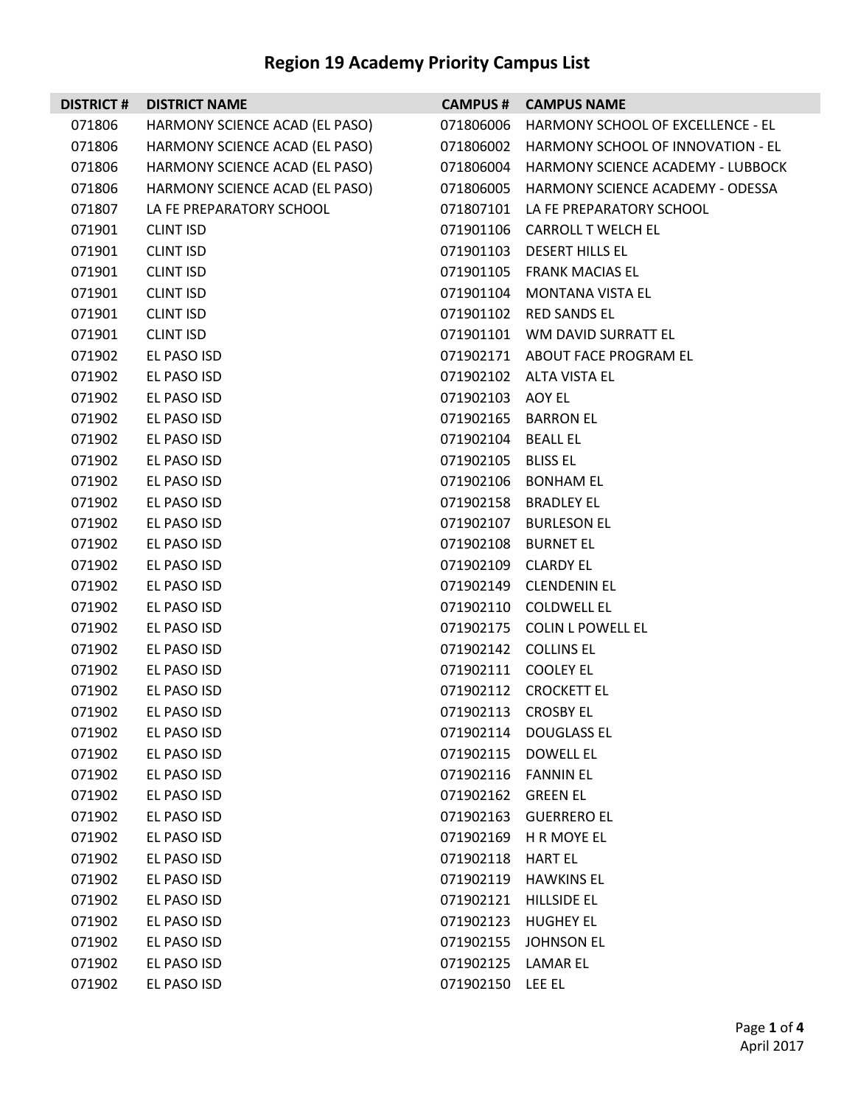| <b>DISTRICT #</b> | <b>DISTRICT NAME</b>           |                     | <b>CAMPUS # CAMPUS NAME</b>                 |
|-------------------|--------------------------------|---------------------|---------------------------------------------|
| 071806            | HARMONY SCIENCE ACAD (EL PASO) |                     | 071806006 HARMONY SCHOOL OF EXCELLENCE - EL |
| 071806            | HARMONY SCIENCE ACAD (EL PASO) |                     | 071806002 HARMONY SCHOOL OF INNOVATION - EL |
| 071806            | HARMONY SCIENCE ACAD (EL PASO) |                     | 071806004 HARMONY SCIENCE ACADEMY - LUBBOCK |
| 071806            | HARMONY SCIENCE ACAD (EL PASO) |                     | 071806005 HARMONY SCIENCE ACADEMY - ODESSA  |
| 071807            | LA FE PREPARATORY SCHOOL       |                     | 071807101 LA FE PREPARATORY SCHOOL          |
| 071901            | <b>CLINT ISD</b>               |                     | 071901106 CARROLL T WELCH EL                |
| 071901            | <b>CLINT ISD</b>               |                     | 071901103 DESERT HILLS EL                   |
| 071901            | <b>CLINT ISD</b>               |                     | 071901105 FRANK MACIAS EL                   |
| 071901            | <b>CLINT ISD</b>               |                     | 071901104 MONTANA VISTA EL                  |
| 071901            | <b>CLINT ISD</b>               |                     | 071901102 RED SANDS EL                      |
| 071901            | <b>CLINT ISD</b>               |                     | 071901101 WM DAVID SURRATT EL               |
| 071902            | EL PASO ISD                    |                     | 071902171 ABOUT FACE PROGRAM EL             |
| 071902            | EL PASO ISD                    |                     | 071902102 ALTA VISTA EL                     |
| 071902            | EL PASO ISD                    | 071902103 AOY EL    |                                             |
| 071902            | EL PASO ISD                    |                     | 071902165 BARRON EL                         |
| 071902            | EL PASO ISD                    | 071902104 BEALL EL  |                                             |
| 071902            | EL PASO ISD                    | 071902105 BLISS EL  |                                             |
| 071902            | EL PASO ISD                    |                     | 071902106 BONHAM EL                         |
| 071902            | EL PASO ISD                    |                     | 071902158 BRADLEY EL                        |
| 071902            | EL PASO ISD                    |                     | 071902107 BURLESON EL                       |
| 071902            | EL PASO ISD                    |                     | 071902108 BURNET EL                         |
| 071902            | EL PASO ISD                    | 071902109 CLARDY EL |                                             |
| 071902            | EL PASO ISD                    |                     | 071902149 CLENDENIN EL                      |
| 071902            | EL PASO ISD                    |                     | 071902110 COLDWELL EL                       |
| 071902            | EL PASO ISD                    |                     | 071902175 COLIN L POWELL EL                 |
| 071902            | EL PASO ISD                    |                     | 071902142 COLLINS EL                        |
| 071902            | EL PASO ISD                    | 071902111 COOLEY EL |                                             |
| 071902            | EL PASO ISD                    |                     | 071902112 CROCKETT EL                       |
| 071902            | EL PASO ISD                    | 071902113 CROSBY EL |                                             |
| 071902            | EL PASO ISD                    | 071902114           | <b>DOUGLASS EL</b>                          |
| 071902            | EL PASO ISD                    | 071902115           | <b>DOWELL EL</b>                            |
| 071902            | EL PASO ISD                    | 071902116           | <b>FANNIN EL</b>                            |
| 071902            | EL PASO ISD                    | 071902162           | <b>GREEN EL</b>                             |
| 071902            | EL PASO ISD                    | 071902163           | <b>GUERRERO EL</b>                          |
| 071902            | EL PASO ISD                    | 071902169           | H R MOYE EL                                 |
| 071902            | EL PASO ISD                    | 071902118           | <b>HART EL</b>                              |
| 071902            | EL PASO ISD                    | 071902119           | <b>HAWKINS EL</b>                           |
| 071902            | EL PASO ISD                    | 071902121           | <b>HILLSIDE EL</b>                          |
| 071902            | EL PASO ISD                    | 071902123           | <b>HUGHEY EL</b>                            |
| 071902            | EL PASO ISD                    | 071902155           | <b>JOHNSON EL</b>                           |
| 071902            | EL PASO ISD                    | 071902125           | LAMAR EL                                    |
| 071902            | EL PASO ISD                    | 071902150 LEE EL    |                                             |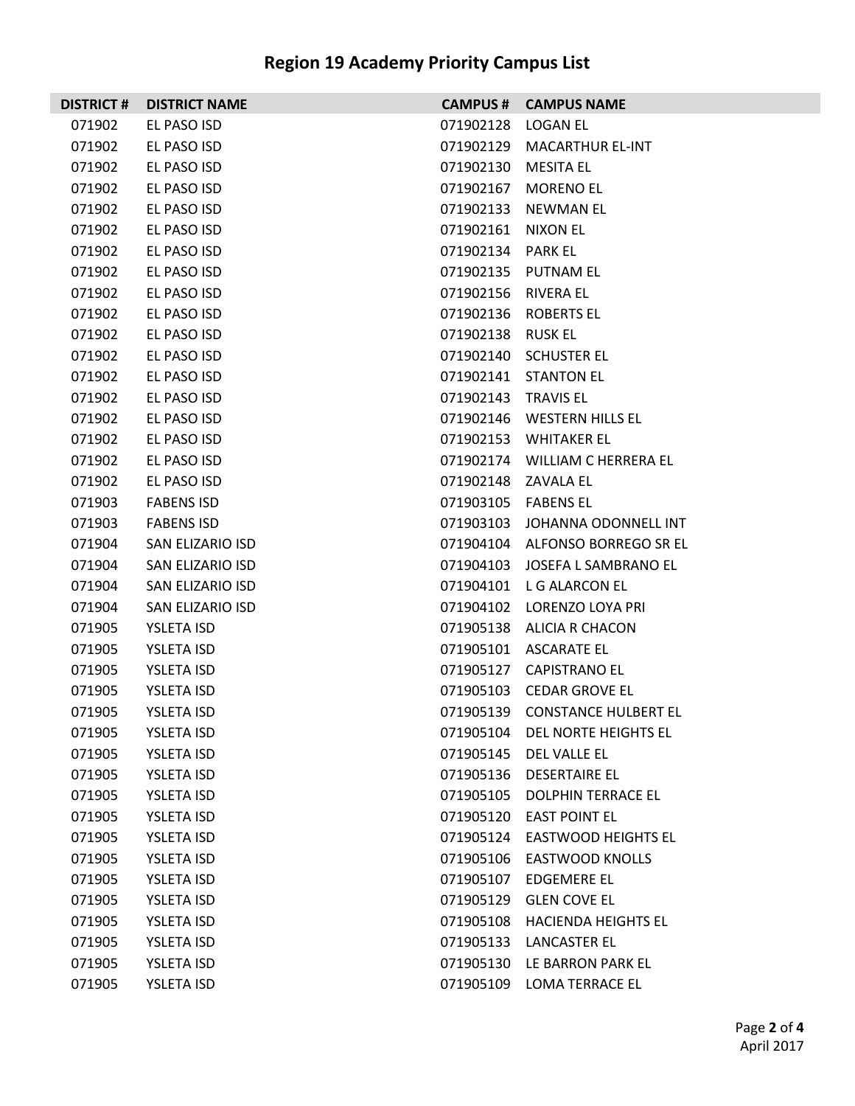| <b>DISTRICT#</b> | <b>DISTRICT NAME</b> |                     | <b>CAMPUS # CAMPUS NAME</b>     |
|------------------|----------------------|---------------------|---------------------------------|
| 071902           | EL PASO ISD          | 071902128           | LOGAN EL                        |
| 071902           | EL PASO ISD          |                     | 071902129 MACARTHUR EL-INT      |
| 071902           | EL PASO ISD          | 071902130           | MESITA EL                       |
| 071902           | EL PASO ISD          |                     | 071902167 MORENO EL             |
| 071902           | EL PASO ISD          |                     | 071902133 NEWMAN EL             |
| 071902           | EL PASO ISD          | 071902161 NIXON EL  |                                 |
| 071902           | EL PASO ISD          | 071902134 PARK EL   |                                 |
| 071902           | EL PASO ISD          |                     | 071902135 PUTNAM EL             |
| 071902           | EL PASO ISD          | 071902156 RIVERA EL |                                 |
| 071902           | EL PASO ISD          |                     | 071902136 ROBERTS EL            |
| 071902           | EL PASO ISD          | 071902138 RUSK EL   |                                 |
| 071902           | EL PASO ISD          |                     | 071902140 SCHUSTER EL           |
| 071902           | EL PASO ISD          |                     | 071902141 STANTON EL            |
| 071902           | EL PASO ISD          | 071902143 TRAVIS EL |                                 |
| 071902           | EL PASO ISD          |                     | 071902146 WESTERN HILLS EL      |
| 071902           | EL PASO ISD          |                     | 071902153 WHITAKER EL           |
| 071902           | EL PASO ISD          |                     | 071902174 WILLIAM C HERRERA EL  |
| 071902           | EL PASO ISD          | 071902148 ZAVALA EL |                                 |
| 071903           | <b>FABENS ISD</b>    | 071903105 FABENS EL |                                 |
| 071903           | <b>FABENS ISD</b>    |                     | 071903103 JOHANNA ODONNELL INT  |
| 071904           | SAN ELIZARIO ISD     |                     | 071904104 ALFONSO BORREGO SR EL |
| 071904           | SAN ELIZARIO ISD     |                     | 071904103 JOSEFA L SAMBRANO EL  |
| 071904           | SAN ELIZARIO ISD     |                     | 071904101 L G ALARCON EL        |
| 071904           | SAN ELIZARIO ISD     |                     | 071904102 LORENZO LOYA PRI      |
| 071905           | YSLETA ISD           |                     | 071905138 ALICIA R CHACON       |
| 071905           | YSLETA ISD           |                     | 071905101 ASCARATE EL           |
| 071905           | YSLETA ISD           |                     | 071905127 CAPISTRANO EL         |
| 071905           | <b>YSLETA ISD</b>    |                     | 071905103 CEDAR GROVE EL        |
| 071905           | <b>YSLETA ISD</b>    |                     | 071905139 CONSTANCE HULBERT EL  |
| 071905           | YSLETA ISD           |                     | 071905104 DEL NORTE HEIGHTS EL  |
| 071905           | YSLETA ISD           |                     | 071905145 DEL VALLE EL          |
| 071905           | <b>YSLETA ISD</b>    |                     | 071905136 DESERTAIRE EL         |
| 071905           | YSLETA ISD           |                     | 071905105 DOLPHIN TERRACE EL    |
| 071905           | YSLETA ISD           |                     | 071905120 EAST POINT EL         |
| 071905           | YSLETA ISD           |                     | 071905124 EASTWOOD HEIGHTS EL   |
| 071905           | <b>YSLETA ISD</b>    |                     | 071905106 EASTWOOD KNOLLS       |
| 071905           | YSLETA ISD           |                     | 071905107 EDGEMERE EL           |
| 071905           | YSLETA ISD           |                     | 071905129 GLEN COVE EL          |
| 071905           | YSLETA ISD           |                     | 071905108 HACIENDA HEIGHTS EL   |
| 071905           | YSLETA ISD           |                     | 071905133 LANCASTER EL          |
| 071905           | YSLETA ISD           |                     | 071905130 LE BARRON PARK EL     |
| 071905           | YSLETA ISD           |                     | 071905109 LOMA TERRACE EL       |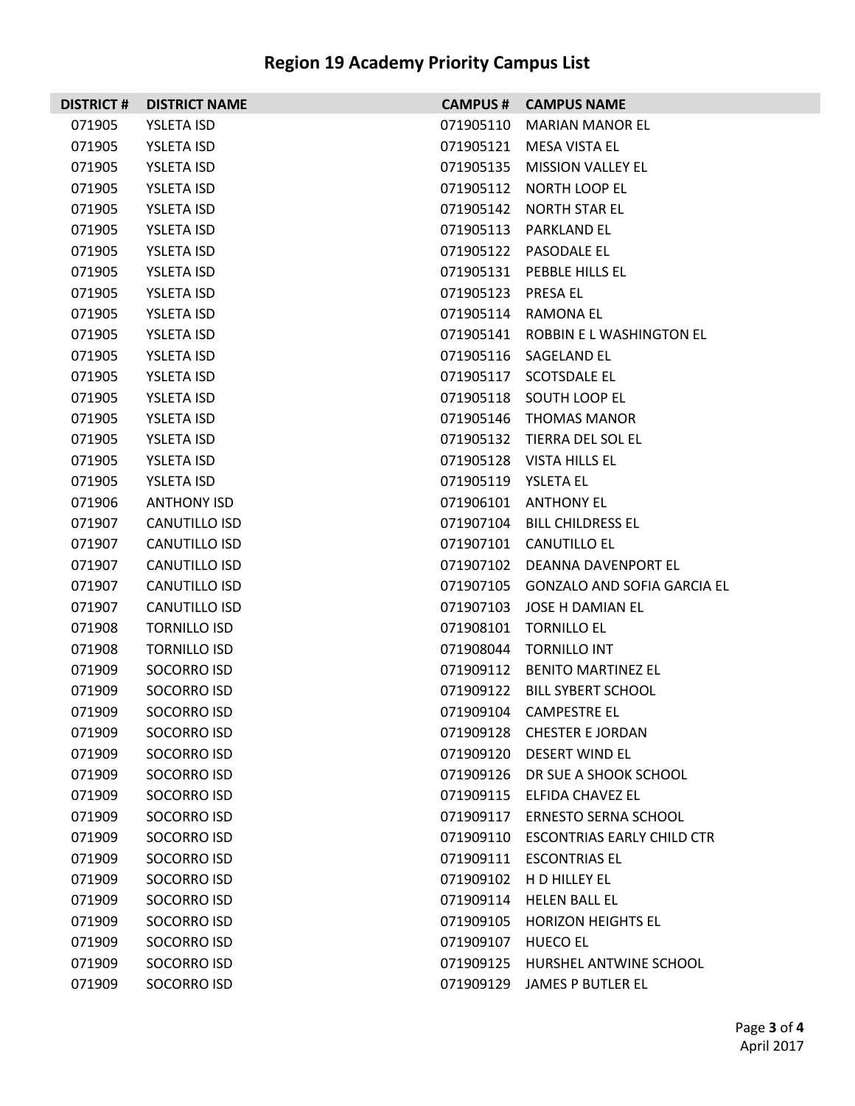| <b>DISTRICT #</b> | <b>DISTRICT NAME</b> |                     | <b>CAMPUS # CAMPUS NAME</b>           |
|-------------------|----------------------|---------------------|---------------------------------------|
| 071905            | <b>YSLETA ISD</b>    | 071905110           | <b>MARIAN MANOR EL</b>                |
| 071905            | <b>YSLETA ISD</b>    | 071905121           | MESA VISTA EL                         |
| 071905            | <b>YSLETA ISD</b>    | 071905135           | MISSION VALLEY EL                     |
| 071905            | <b>YSLETA ISD</b>    |                     | 071905112 NORTH LOOP EL               |
| 071905            | <b>YSLETA ISD</b>    | 071905142           | <b>NORTH STAR EL</b>                  |
| 071905            | <b>YSLETA ISD</b>    |                     | 071905113 PARKLAND EL                 |
| 071905            | <b>YSLETA ISD</b>    |                     | 071905122 PASODALE EL                 |
| 071905            | <b>YSLETA ISD</b>    |                     | 071905131 PEBBLE HILLS EL             |
| 071905            | <b>YSLETA ISD</b>    | 071905123 PRESA EL  |                                       |
| 071905            | <b>YSLETA ISD</b>    |                     | 071905114 RAMONA EL                   |
| 071905            | <b>YSLETA ISD</b>    |                     | 071905141 ROBBIN ELWASHINGTON EL      |
| 071905            | <b>YSLETA ISD</b>    |                     | 071905116 SAGELAND EL                 |
| 071905            | <b>YSLETA ISD</b>    | 071905117           | <b>SCOTSDALE EL</b>                   |
| 071905            | <b>YSLETA ISD</b>    |                     | 071905118 SOUTH LOOP EL               |
| 071905            | <b>YSLETA ISD</b>    | 071905146           | THOMAS MANOR                          |
| 071905            | <b>YSLETA ISD</b>    |                     | 071905132 TIERRA DEL SOL EL           |
| 071905            | <b>YSLETA ISD</b>    |                     | 071905128 VISTA HILLS EL              |
| 071905            | <b>YSLETA ISD</b>    | 071905119 YSLETA EL |                                       |
| 071906            | <b>ANTHONY ISD</b>   |                     | 071906101 ANTHONY EL                  |
| 071907            | CANUTILLO ISD        |                     | 071907104 BILL CHILDRESS EL           |
| 071907            | CANUTILLO ISD        |                     | 071907101 CANUTILLO EL                |
| 071907            | CANUTILLO ISD        |                     | 071907102 DEANNA DAVENPORT EL         |
| 071907            | CANUTILLO ISD        |                     | 071907105 GONZALO AND SOFIA GARCIA EL |
| 071907            | CANUTILLO ISD        | 071907103           | JOSE H DAMIAN EL                      |
| 071908            | <b>TORNILLO ISD</b>  | 071908101           | <b>TORNILLO EL</b>                    |
| 071908            | <b>TORNILLO ISD</b>  | 071908044           | <b>TORNILLO INT</b>                   |
| 071909            | SOCORRO ISD          |                     | 071909112 BENITO MARTINEZ EL          |
| 071909            | SOCORRO ISD          |                     | 071909122 BILL SYBERT SCHOOL          |
| 071909            | SOCORRO ISD          |                     | 071909104 CAMPESTRE EL                |
| 071909            | SOCORRO ISD          |                     | 071909128 CHESTER E JORDAN            |
| 071909            | SOCORRO ISD          |                     | 071909120 DESERT WIND EL              |
| 071909            | SOCORRO ISD          |                     | 071909126 DR SUE A SHOOK SCHOOL       |
| 071909            | SOCORRO ISD          |                     | 071909115 ELFIDA CHAVEZ EL            |
| 071909            | SOCORRO ISD          |                     | 071909117 ERNESTO SERNA SCHOOL        |
| 071909            | SOCORRO ISD          | 071909110           | <b>ESCONTRIAS EARLY CHILD CTR</b>     |
| 071909            | SOCORRO ISD          |                     | 071909111 ESCONTRIAS EL               |
| 071909            | SOCORRO ISD          | 071909102           | H D HILLEY EL                         |
| 071909            | SOCORRO ISD          |                     | 071909114 HELEN BALL EL               |
| 071909            | SOCORRO ISD          | 071909105           | <b>HORIZON HEIGHTS EL</b>             |
| 071909            | SOCORRO ISD          | 071909107           | HUECO EL                              |
| 071909            | SOCORRO ISD          | 071909125           | HURSHEL ANTWINE SCHOOL                |
| 071909            | SOCORRO ISD          | 071909129           | JAMES P BUTLER EL                     |